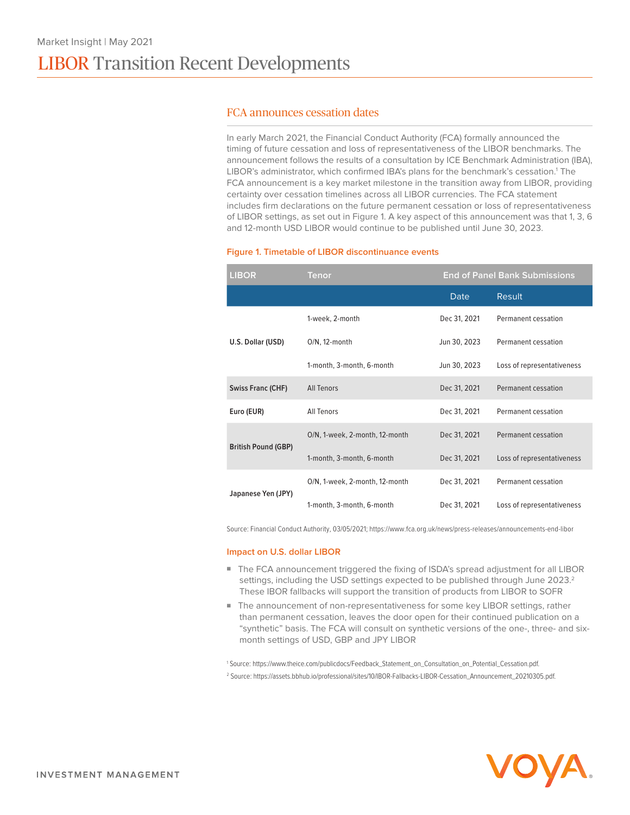### FCA announces cessation dates

In early March 2021, the Financial Conduct Authority (FCA) formally announced the timing of future cessation and loss of representativeness of the LIBOR benchmarks. The announcement follows the results of a consultation by ICE Benchmark Administration (IBA), LIBOR's administrator, which confirmed IBA's plans for the benchmark's cessation.<sup>1</sup> The FCA announcement is a key market milestone in the transition away from LIBOR, providing certainty over cessation timelines across all LIBOR currencies. The FCA statement includes firm declarations on the future permanent cessation or loss of representativeness of LIBOR settings, as set out in Figure 1. A key aspect of this announcement was that 1, 3, 6 and 12-month USD LIBOR would continue to be published until June 30, 2023.

### **Figure 1. Timetable of LIBOR discontinuance events**

| <b>LIBOR</b>               | Tenor                          | <b>End of Panel Bank Submissions</b> |                            |
|----------------------------|--------------------------------|--------------------------------------|----------------------------|
|                            |                                | Date                                 | Result                     |
| U.S. Dollar (USD)          | 1-week, 2-month                | Dec 31, 2021                         | Permanent cessation        |
|                            | $O/N$ , 12-month               | Jun 30, 2023                         | Permanent cessation        |
|                            | 1-month, 3-month, 6-month      | Jun 30, 2023                         | Loss of representativeness |
| <b>Swiss Franc (CHF)</b>   | <b>All Tenors</b>              | Dec 31, 2021                         | Permanent cessation        |
| Euro (EUR)                 | All Tenors                     | Dec 31, 2021                         | Permanent cessation        |
| <b>British Pound (GBP)</b> | O/N, 1-week, 2-month, 12-month | Dec 31, 2021                         | Permanent cessation        |
|                            | 1-month, 3-month, 6-month      | Dec 31, 2021                         | Loss of representativeness |
| Japanese Yen (JPY)         | O/N, 1-week, 2-month, 12-month | Dec 31, 2021                         | Permanent cessation        |
|                            | 1-month, 3-month, 6-month      | Dec 31, 2021                         | Loss of representativeness |

Source: Financial Conduct Authority, 03/05/2021; https://www.fca.org.uk/news/press-releases/announcements-end-libor

#### **Impact on U.S. dollar LIBOR**

- The FCA announcement triggered the fixing of ISDA's spread adjustment for all LIBOR settings, including the USD settings expected to be published through June 2023.<sup>2</sup> These IBOR fallbacks will support the transition of products from LIBOR to SOFR
- The announcement of non-representativeness for some key LIBOR settings, rather than permanent cessation, leaves the door open for their continued publication on a "synthetic" basis. The FCA will consult on synthetic versions of the one-, three- and sixmonth settings of USD, GBP and JPY LIBOR

1 Source: https://www.theice.com/publicdocs/Feedback\_Statement\_on\_Consultation\_on\_Potential\_Cessation.pdf.

2 Source: https://assets.bbhub.io/professional/sites/10/IBOR-Fallbacks-LIBOR-Cessation\_Announcement\_20210305.pdf.

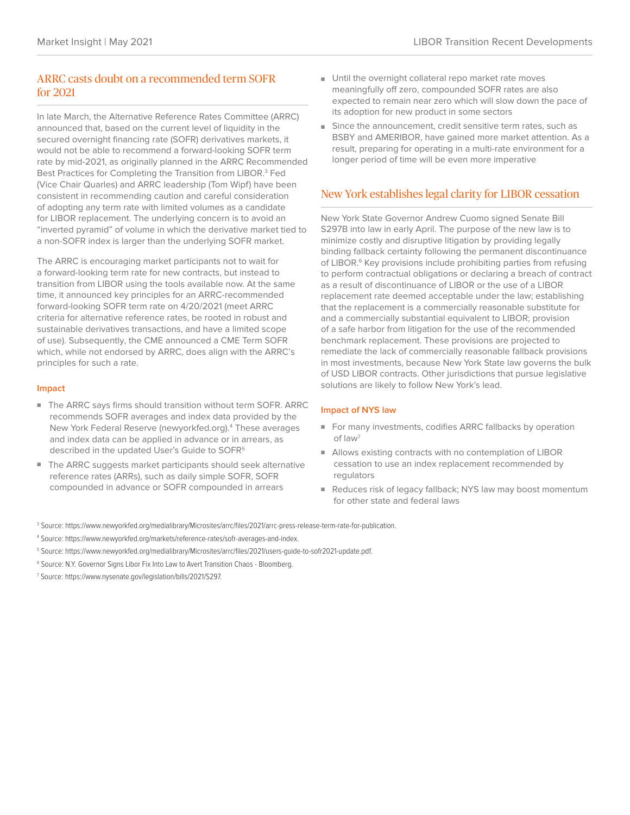# ARRC casts doubt on a recommended term SOFR for 2021

In late March, the Alternative Reference Rates Committee (ARRC) announced that, based on the current level of liquidity in the secured overnight financing rate (SOFR) derivatives markets, it would not be able to recommend a forward-looking SOFR term rate by mid-2021, as originally planned in the ARRC Recommended Best Practices for Completing the Transition from LIBOR.<sup>3</sup> Fed (Vice Chair Quarles) and ARRC leadership (Tom Wipf) have been consistent in recommending caution and careful consideration of adopting any term rate with limited volumes as a candidate for LIBOR replacement. The underlying concern is to avoid an "inverted pyramid" of volume in which the derivative market tied to a non-SOFR index is larger than the underlying SOFR market.

The ARRC is encouraging market participants not to wait for a forward-looking term rate for new contracts, but instead to transition from LIBOR using the tools available now. At the same time, it announced key principles for an ARRC-recommended forward-looking SOFR term rate on 4/20/2021 (meet ARRC criteria for alternative reference rates, be rooted in robust and sustainable derivatives transactions, and have a limited scope of use). Subsequently, the CME announced a CME Term SOFR which, while not endorsed by ARRC, does align with the ARRC's principles for such a rate.

### **Impact**

- The ARRC says firms should transition without term SOFR. ARRC recommends SOFR averages and index data provided by the New York Federal Reserve (newyorkfed.org).<sup>4</sup> These averages and index data can be applied in advance or in arrears, as described in the updated User's Guide to SOFR<sup>5</sup>
- The ARRC suggests market participants should seek alternative reference rates (ARRs), such as daily simple SOFR, SOFR compounded in advance or SOFR compounded in arrears
- Until the overnight collateral repo market rate moves meaningfully off zero, compounded SOFR rates are also expected to remain near zero which will slow down the pace of its adoption for new product in some sectors
- Since the announcement, credit sensitive term rates, such as BSBY and AMERIBOR, have gained more market attention. As a result, preparing for operating in a multi-rate environment for a longer period of time will be even more imperative

## New York establishes legal clarity for LIBOR cessation

New York State Governor Andrew Cuomo signed Senate Bill S297B into law in early April. The purpose of the new law is to minimize costly and disruptive litigation by providing legally binding fallback certainty following the permanent discontinuance of LIBOR.<sup>6</sup> Key provisions include prohibiting parties from refusing to perform contractual obligations or declaring a breach of contract as a result of discontinuance of LIBOR or the use of a LIBOR replacement rate deemed acceptable under the law; establishing that the replacement is a commercially reasonable substitute for and a commercially substantial equivalent to LIBOR; provision of a safe harbor from litigation for the use of the recommended benchmark replacement. These provisions are projected to remediate the lack of commercially reasonable fallback provisions in most investments, because New York State law governs the bulk of USD LIBOR contracts. Other jurisdictions that pursue legislative solutions are likely to follow New York's lead.

### **Impact of NYS law**

- For many investments, codifies ARRC fallbacks by operation of law7
- Allows existing contracts with no contemplation of LIBOR cessation to use an index replacement recommended by regulators
- Reduces risk of legacy fallback: NYS law may boost momentum for other state and federal laws

3 Source: https://www.newyorkfed.org/medialibrary/Microsites/arrc/files/2021/arrc-press-release-term-rate-for-publication.

- 4 Source: https://www.newyorkfed.org/markets/reference-rates/sofr-averages-and-index.
- 5 Source: https://www.newyorkfed.org/medialibrary/Microsites/arrc/files/2021/users-guide-to-sofr2021-update.pdf.
- <sup>6</sup> Source: N.Y. Governor Signs Libor Fix Into Law to Avert Transition Chaos Bloomberg.
- 7 Source: https://www.nysenate.gov/legislation/bills/2021/S297.